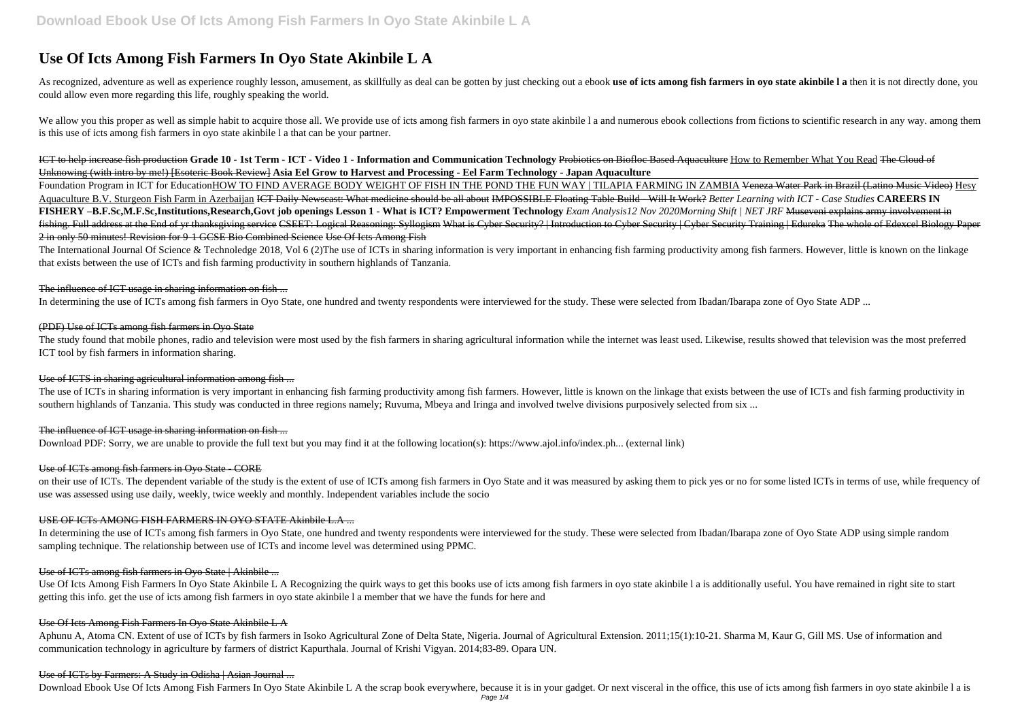# **Use Of Icts Among Fish Farmers In Oyo State Akinbile L A**

As recognized, adventure as well as experience roughly lesson, amusement, as skillfully as deal can be gotten by just checking out a ebook use of icts among fish farmers in oyo state akinbile I a then it is not directly do could allow even more regarding this life, roughly speaking the world.

We allow you this proper as well as simple habit to acquire those all. We provide use of icts among fish farmers in oyo state akinbile 1 a and numerous ebook collections from fictions to scientific research in any way. amo is this use of icts among fish farmers in oyo state akinbile l a that can be your partner.

ICT to help increase fish production **Grade 10 - 1st Term - ICT - Video 1 - Information and Communication Technology** Probiotics on Biofloc Based Aquaculture How to Remember What You Read The Cloud of Unknowing (with intro by me!) [Esoteric Book Review] **Asia Eel Grow to Harvest and Processing - Eel Farm Technology - Japan Aquaculture**

Foundation Program in ICT for EducationHOW TO FIND AVERAGE BODY WEIGHT OF FISH IN THE POND THE FUN WAY | TILAPIA FARMING IN ZAMBIA <del>Veneza Water Park in Brazil (Latino Music Video)</del> Hesy Aquaculture B.V. Sturgeon Fish Farm in Azerbaijan ICT Daily Newscast: What medicine should be all about IMPOSSIBLE Floating Table Build - Will It Work? *Better Learning with ICT - Case Studies* **CAREERS IN FISHERY –B.F.Sc,M.F.Sc,Institutions,Research,Govt job openings Lesson 1 - What is ICT? Empowerment Technology** *Exam Analysis12 Nov 2020Morning Shift | NET JRF* Museveni explains army involvement in fishing. Full address at the End of yr thanksgiving service CSEET: Logical Reasoning: Syllogism What is Cyber Security? | Introduction to Cyber Security | Cyber Security Training | Edureka The whole of Edexcel Biology Paper 2 in only 50 minutes! Revision for 9-1 GCSE Bio Combined Science Use Of Icts Among Fish

The International Journal Of Science & Technoledge 2018, Vol 6 (2)The use of ICTs in sharing information is very important in enhancing fish farming productivity among fish farmers. However, little is known on the linkage that exists between the use of ICTs and fish farming productivity in southern highlands of Tanzania.

#### The influence of ICT usage in sharing information on fish ...

The study found that mobile phones, radio and television were most used by the fish farmers in sharing agricultural information while the internet was least used. Likewise, results showed that television was the most prefe ICT tool by fish farmers in information sharing.

on their use of ICTs. The dependent variable of the study is the extent of use of ICTs among fish farmers in Oyo State and it was measured by asking them to pick yes or no for some listed ICTs in terms of use, while freque use was assessed using use daily, weekly, twice weekly and monthly. Independent variables include the socio

In determining the use of ICTs among fish farmers in Oyo State, one hundred and twenty respondents were interviewed for the study. These were selected from Ibadan/Ibarapa zone of Oyo State ADP ...

Aphunu A, Atoma CN. Extent of use of ICTs by fish farmers in Isoko Agricultural Zone of Delta State, Nigeria. Journal of Agricultural Extension. 2011;15(1):10-21. Sharma M, Kaur G, Gill MS. Use of information and communication technology in agriculture by farmers of district Kapurthala. Journal of Krishi Vigyan. 2014;83-89. Opara UN.

#### Use of ICTs by Farmers: A Study in Odisha | Asian Journal ...

Download Ebook Use Of Icts Among Fish Farmers In Oyo State Akinbile L A the scrap book everywhere, because it is in your gadget. Or next visceral in the office, this use of icts among fish farmers in oyo state akinbile lai

#### (PDF) Use of ICTs among fish farmers in Oyo State

### Use of ICTS in sharing agricultural information among fish ...

The use of ICTs in sharing information is very important in enhancing fish farming productivity among fish farmers. However, little is known on the linkage that exists between the use of ICTs and fish farming productivity southern highlands of Tanzania. This study was conducted in three regions namely; Ruvuma, Mbeya and Iringa and involved twelve divisions purposively selected from six ...

### The influence of ICT usage in sharing information on fish ...

Download PDF: Sorry, we are unable to provide the full text but you may find it at the following location(s): https://www.ajol.info/index.ph... (external link)

### Use of ICTs among fish farmers in Oyo State - CORE

#### USE OF ICTs AMONG FISH FARMERS IN OYO STATE Akinbile L.A ...

In determining the use of ICTs among fish farmers in Oyo State, one hundred and twenty respondents were interviewed for the study. These were selected from Ibadan/Ibarapa zone of Oyo State ADP using simple random sampling technique. The relationship between use of ICTs and income level was determined using PPMC.

### Use of ICTs among fish farmers in Oyo State | Akinbile ...

Use Of Icts Among Fish Farmers In Oyo State Akinbile L A Recognizing the quirk ways to get this books use of icts among fish farmers in oyo state akinbile l a is additionally useful. You have remained in right site to start getting this info. get the use of icts among fish farmers in oyo state akinbile l a member that we have the funds for here and

### Use Of Icts Among Fish Farmers In Oyo State Akinbile L A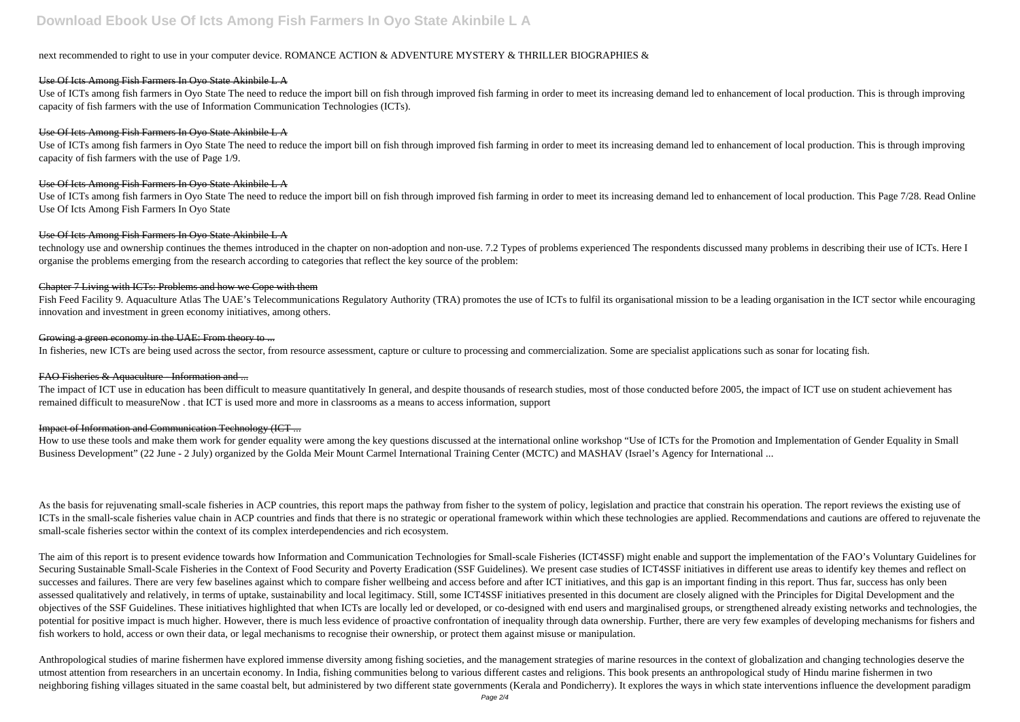## **Download Ebook Use Of Icts Among Fish Farmers In Oyo State Akinbile L A**

#### next recommended to right to use in your computer device. ROMANCE ACTION & ADVENTURE MYSTERY & THRILLER BIOGRAPHIES &

#### Use Of Icts Among Fish Farmers In Oyo State Akinbile L A

Use of ICTs among fish farmers in Oyo State The need to reduce the import bill on fish through improved fish farming in order to meet its increasing demand led to enhancement of local production. This is through improving capacity of fish farmers with the use of Information Communication Technologies (ICTs).

#### Use Of Icts Among Fish Farmers In Oyo State Akinbile L A

Use of ICTs among fish farmers in Oyo State The need to reduce the import bill on fish through improved fish farming in order to meet its increasing demand led to enhancement of local production. This is through improving capacity of fish farmers with the use of Page 1/9.

#### Use Of Icts Among Fish Farmers In Oyo State Akinbile L A

Fish Feed Facility 9. Aquaculture Atlas The UAE's Telecommunications Regulatory Authority (TRA) promotes the use of ICTs to fulfil its organisational mission to be a leading organisation in the ICT sector while encouraging innovation and investment in green economy initiatives, among others.

#### Growing a green economy in the UAE: From theory to ...

Use of ICTs among fish farmers in Oyo State The need to reduce the import bill on fish through improved fish farming in order to meet its increasing demand led to enhancement of local production. This Page 7/28. Read Online Use Of Icts Among Fish Farmers In Oyo State

#### Use Of Icts Among Fish Farmers In Oyo State Akinbile L A

The impact of ICT use in education has been difficult to measure quantitatively In general, and despite thousands of research studies, most of those conducted before 2005, the impact of ICT use on student achievement has remained difficult to measureNow . that ICT is used more and more in classrooms as a means to access information, support

How to use these tools and make them work for gender equality were among the key questions discussed at the international online workshop "Use of ICTs for the Promotion and Implementation of Gender Equality in Small Business Development" (22 June - 2 July) organized by the Golda Meir Mount Carmel International Training Center (MCTC) and MASHAV (Israel's Agency for International ...

technology use and ownership continues the themes introduced in the chapter on non-adoption and non-use. 7.2 Types of problems experienced The respondents discussed many problems in describing their use of ICTs. Here I organise the problems emerging from the research according to categories that reflect the key source of the problem:

#### Chapter 7 Living with ICTs: Problems and how we Cope with them

As the basis for rejuvenating small-scale fisheries in ACP countries, this report maps the pathway from fisher to the system of policy, legislation and practice that constrain his operation. The report reviews the existing ICTs in the small-scale fisheries value chain in ACP countries and finds that there is no strategic or operational framework within which these technologies are applied. Recommendations and cautions are offered to rejuvena small-scale fisheries sector within the context of its complex interdependencies and rich ecosystem.

In fisheries, new ICTs are being used across the sector, from resource assessment, capture or culture to processing and commercialization. Some are specialist applications such as sonar for locating fish.

### FAO Fisheries & Aquaculture - Information and ...

The aim of this report is to present evidence towards how Information and Communication Technologies for Small-scale Fisheries (ICT4SSF) might enable and support the implementation of the FAO's Voluntary Guidelines for Securing Sustainable Small-Scale Fisheries in the Context of Food Security and Poverty Eradication (SSF Guidelines). We present case studies of ICT4SSF initiatives in different use areas to identify key themes and reflect successes and failures. There are very few baselines against which to compare fisher wellbeing and access before and after ICT initiatives, and this gap is an important finding in this report. Thus far, success has only be assessed qualitatively and relatively, in terms of uptake, sustainability and local legitimacy. Still, some ICT4SSF initiatives presented in this document are closely aligned with the Principles for Digital Development and objectives of the SSF Guidelines. These initiatives highlighted that when ICTs are locally led or developed, or co-designed with end users and marginalised groups, or strengthened already existing networks and technologies potential for positive impact is much higher. However, there is much less evidence of proactive confrontation of inequality through data ownership. Further, there are very few examples of developing mechanisms for fishers fish workers to hold, access or own their data, or legal mechanisms to recognise their ownership, or protect them against misuse or manipulation.

Anthropological studies of marine fishermen have explored immense diversity among fishing societies, and the management strategies of marine resources in the context of globalization and changing technologies deserve the utmost attention from researchers in an uncertain economy. In India, fishing communities belong to various different castes and religions. This book presents an anthropological study of Hindu marine fishermen in two neighboring fishing villages situated in the same coastal belt, but administered by two different state governments (Kerala and Pondicherry). It explores the ways in which state interventions influence the development para

### Impact of Information and Communication Technology (ICT ...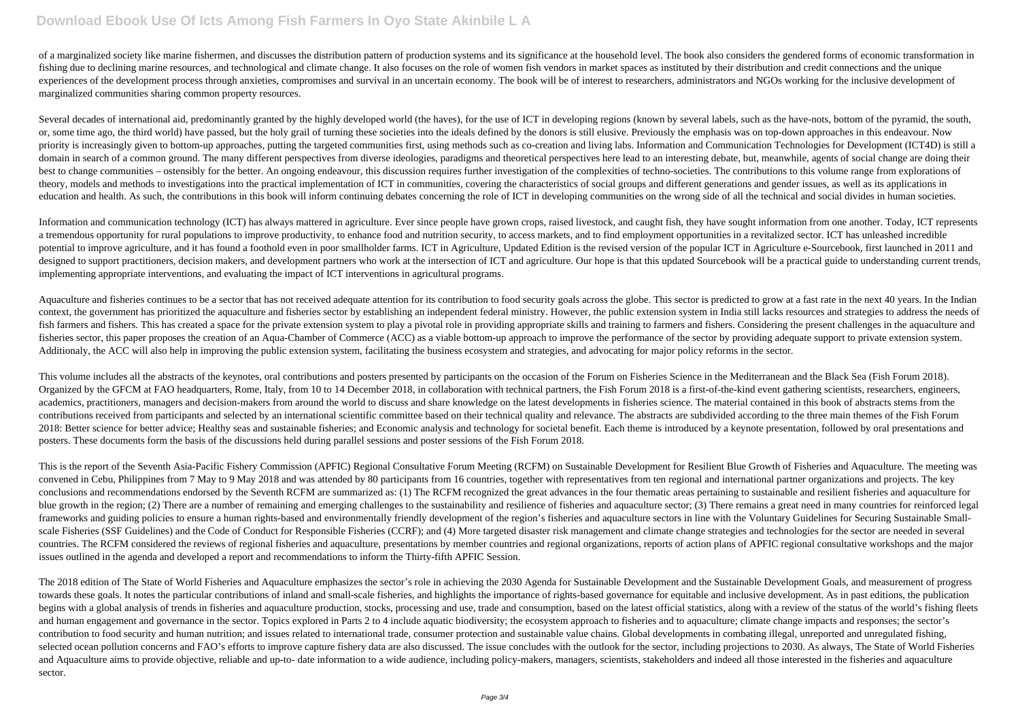## **Download Ebook Use Of Icts Among Fish Farmers In Oyo State Akinbile L A**

of a marginalized society like marine fishermen, and discusses the distribution pattern of production systems and its significance at the household level. The book also considers the gendered forms of economic transformati fishing due to declining marine resources, and technological and climate change. It also focuses on the role of women fish vendors in market spaces as instituted by their distribution and credit connections and the unique experiences of the development process through anxieties, compromises and survival in an uncertain economy. The book will be of interest to researchers, administrators and NGOs working for the inclusive development of marginalized communities sharing common property resources.

Several decades of international aid, predominantly granted by the highly developed world (the haves), for the use of ICT in developing regions (known by several labels, such as the have-nots, bottom of the pyramid, the so or, some time ago, the third world) have passed, but the holy grail of turning these societies into the ideals defined by the donors is still elusive. Previously the emphasis was on top-down approaches in this endeavour. Now priority is increasingly given to bottom-up approaches, putting the targeted communities first, using methods such as co-creation and living labs. Information and Communication Technologies for Development (ICT4D) is still domain in search of a common ground. The many different perspectives from diverse ideologies, paradigms and theoretical perspectives here lead to an interesting debate, but, meanwhile, agents of social change are doing their best to change communities – ostensibly for the better. An ongoing endeavour, this discussion requires further investigation of the complexities of techno-societies. The contributions to this volume range from explorations theory, models and methods to investigations into the practical implementation of ICT in communities, covering the characteristics of social groups and different generations and gender issues, as well as its applications in education and health. As such, the contributions in this book will inform continuing debates concerning the role of ICT in developing communities on the wrong side of all the technical and social divides in human societies

This volume includes all the abstracts of the keynotes, oral contributions and posters presented by participants on the occasion of the Forum on Fisheries Science in the Mediterranean and the Black Sea (Fish Forum 2018). Organized by the GFCM at FAO headquarters, Rome, Italy, from 10 to 14 December 2018, in collaboration with technical partners, the Fish Forum 2018 is a first-of-the-kind event gathering scientists, researchers, engineers, academics, practitioners, managers and decision-makers from around the world to discuss and share knowledge on the latest developments in fisheries science. The material contained in this book of abstracts stems from the contributions received from participants and selected by an international scientific committee based on their technical quality and relevance. The abstracts are subdivided according to the three main themes of the Fish Forum 2018: Better science for better advice; Healthy seas and sustainable fisheries; and Economic analysis and technology for societal benefit. Each theme is introduced by a keynote presentation, followed by oral presentations posters. These documents form the basis of the discussions held during parallel sessions and poster sessions of the Fish Forum 2018.

Information and communication technology (ICT) has always mattered in agriculture. Ever since people have grown crops, raised livestock, and caught fish, they have sought information from one another. Today, ICT represents a tremendous opportunity for rural populations to improve productivity, to enhance food and nutrition security, to access markets, and to find employment opportunities in a revitalized sector. ICT has unleashed incredible potential to improve agriculture, and it has found a foothold even in poor smallholder farms. ICT in Agriculture, Updated Edition is the revised version of the popular ICT in Agriculture e-Sourcebook, first launched in 201 designed to support practitioners, decision makers, and development partners who work at the intersection of ICT and agriculture. Our hope is that this updated Sourcebook will be a practical guide to understanding current implementing appropriate interventions, and evaluating the impact of ICT interventions in agricultural programs.

Aquaculture and fisheries continues to be a sector that has not received adequate attention for its contribution to food security goals across the globe. This sector is predicted to grow at a fast rate in the next 40 years context, the government has prioritized the aquaculture and fisheries sector by establishing an independent federal ministry. However, the public extension system in India still lacks resources and strategies to address th fish farmers and fishers. This has created a space for the private extension system to play a pivotal role in providing appropriate skills and training to farmers and fishers. Considering the present challenges in the aqua fisheries sector, this paper proposes the creation of an Aqua-Chamber of Commerce (ACC) as a viable bottom-up approach to improve the performance of the sector by providing adequate support to private extension system. Additionaly, the ACC will also help in improving the public extension system, facilitating the business ecosystem and strategies, and advocating for major policy reforms in the sector.

This is the report of the Seventh Asia-Pacific Fishery Commission (APFIC) Regional Consultative Forum Meeting (RCFM) on Sustainable Development for Resilient Blue Growth of Fisheries and Aquaculture. The meeting was convened in Cebu, Philippines from 7 May to 9 May 2018 and was attended by 80 participants from 16 countries, together with representatives from ten regional and international partner organizations and projects. The key conclusions and recommendations endorsed by the Seventh RCFM are summarized as: (1) The RCFM recognized the great advances in the four thematic areas pertaining to sustainable and resilient fisheries and aquaculture for blue growth in the region; (2) There are a number of remaining and emerging challenges to the sustainability and resilience of fisheries and aquaculture sector; (3) There remains a great need in many countries for reinforc frameworks and guiding policies to ensure a human rights-based and environmentally friendly development of the region's fisheries and aquaculture sectors in line with the Voluntary Guidelines for Securing Sustainable Smallscale Fisheries (SSF Guidelines) and the Code of Conduct for Responsible Fisheries (CCRF); and (4) More targeted disaster risk management and climate change strategies and technologies for the sector are needed in several countries. The RCFM considered the reviews of regional fisheries and aquaculture, presentations by member countries and regional organizations, reports of action plans of APFIC regional consultative workshops and the major issues outlined in the agenda and developed a report and recommendations to inform the Thirty-fifth APFIC Session.

The 2018 edition of The State of World Fisheries and Aquaculture emphasizes the sector's role in achieving the 2030 Agenda for Sustainable Development and the Sustainable Development Goals, and measurement of progress towards these goals. It notes the particular contributions of inland and small-scale fisheries, and highlights the importance of rights-based governance for equitable and inclusive development. As in past editions, the pub begins with a global analysis of trends in fisheries and aquaculture production, stocks, processing and use, trade and consumption, based on the latest official statistics, along with a review of the status of the world's and human engagement and governance in the sector. Topics explored in Parts 2 to 4 include aquatic biodiversity; the ecosystem approach to fisheries and to aquaculture; climate change impacts and responses; the sector's contribution to food security and human nutrition; and issues related to international trade, consumer protection and sustainable value chains. Global developments in combating illegal, unreported and unregulated fishing, selected ocean pollution concerns and FAO's efforts to improve capture fishery data are also discussed. The issue concludes with the outlook for the sector, including projections to 2030. As always, The State of World Fish and Aquaculture aims to provide objective, reliable and up-to- date information to a wide audience, including policy-makers, managers, scientists, stakeholders and indeed all those interested in the fisheries and aquacultu sector.